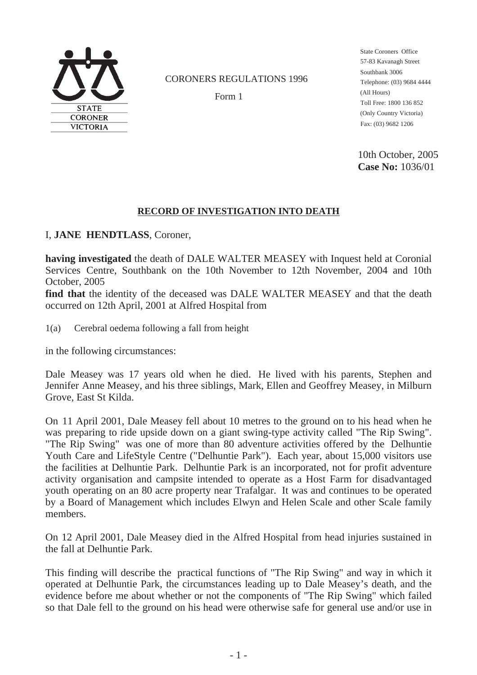

#### CORONERS REGULATIONS 1996

Form 1

Telephone: (03) 9684 4444 Fax: (03) 9682 1206 State Coroners Office 57-83 Kavanagh Street Southbank 3006 (All Hours) Toll Free: 1800 136 852 (Only Country Victoria)

10th October, 2005 **Case No:** 1036/01

#### **RECORD OF INVESTIGATION INTO DEATH**

I, **JANE HENDTLASS**, Coroner,

**having investigated** the death of DALE WALTER MEASEY with Inquest held at Coronial Services Centre, Southbank on the 10th November to 12th November, 2004 and 10th October, 2005

**find that** the identity of the deceased was DALE WALTER MEASEY and that the death occurred on 12th April, 2001 at Alfred Hospital from

1(a) Cerebral oedema following a fall from height

in the following circumstances:

Dale Measey was 17 years old when he died. He lived with his parents, Stephen and Jennifer Anne Measey, and his three siblings, Mark, Ellen and Geoffrey Measey, in Milburn Grove, East St Kilda.

On 11 April 2001, Dale Measey fell about 10 metres to the ground on to his head when he was preparing to ride upside down on a giant swing-type activity called "The Rip Swing". "The Rip Swing" was one of more than 80 adventure activities offered by the Delhuntie Youth Care and LifeStyle Centre ("Delhuntie Park"). Each year, about 15,000 visitors use the facilities at Delhuntie Park. Delhuntie Park is an incorporated, not for profit adventure activity organisation and campsite intended to operate as a Host Farm for disadvantaged youth operating on an 80 acre property near Trafalgar. It was and continues to be operated by a Board of Management which includes Elwyn and Helen Scale and other Scale family members.

On 12 April 2001, Dale Measey died in the Alfred Hospital from head injuries sustained in the fall at Delhuntie Park.

This finding will describe the practical functions of "The Rip Swing" and way in which it operated at Delhuntie Park, the circumstances leading up to Dale Measey's death, and the evidence before me about whether or not the components of "The Rip Swing" which failed so that Dale fell to the ground on his head were otherwise safe for general use and/or use in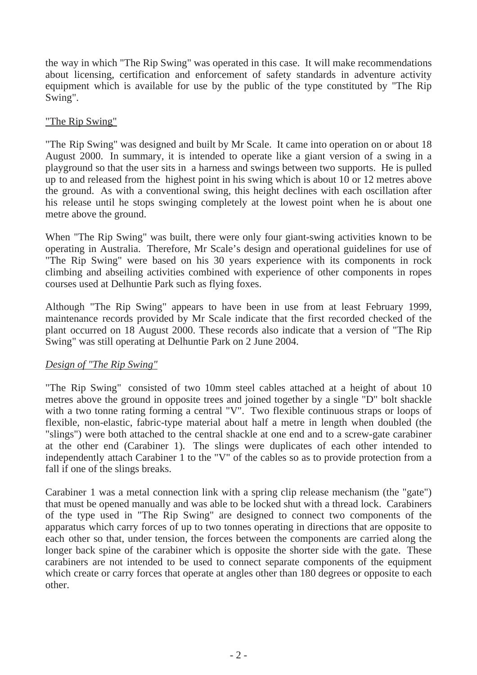the way in which "The Rip Swing" was operated in this case. It will make recommendations about licensing, certification and enforcement of safety standards in adventure activity equipment which is available for use by the public of the type constituted by "The Rip Swing".

## "The Rip Swing"

"The Rip Swing" was designed and built by Mr Scale. It came into operation on or about 18 August 2000. In summary, it is intended to operate like a giant version of a swing in a playground so that the user sits in a harness and swings between two supports. He is pulled up to and released from the highest point in his swing which is about 10 or 12 metres above the ground. As with a conventional swing, this height declines with each oscillation after his release until he stops swinging completely at the lowest point when he is about one metre above the ground.

When "The Rip Swing" was built, there were only four giant-swing activities known to be operating in Australia. Therefore, Mr Scale's design and operational guidelines for use of "The Rip Swing" were based on his 30 years experience with its components in rock climbing and abseiling activities combined with experience of other components in ropes courses used at Delhuntie Park such as flying foxes.

Although "The Rip Swing" appears to have been in use from at least February 1999, maintenance records provided by Mr Scale indicate that the first recorded checked of the plant occurred on 18 August 2000. These records also indicate that a version of "The Rip Swing" was still operating at Delhuntie Park on 2 June 2004.

## *Design of "The Rip Swing"*

"The Rip Swing" consisted of two 10mm steel cables attached at a height of about 10 metres above the ground in opposite trees and joined together by a single "D" bolt shackle with a two tonne rating forming a central "V". Two flexible continuous straps or loops of flexible, non-elastic, fabric-type material about half a metre in length when doubled (the "slings") were both attached to the central shackle at one end and to a screw-gate carabiner at the other end (Carabiner 1). The slings were duplicates of each other intended to independently attach Carabiner 1 to the "V" of the cables so as to provide protection from a fall if one of the slings breaks.

Carabiner 1 was a metal connection link with a spring clip release mechanism (the "gate") that must be opened manually and was able to be locked shut with a thread lock. Carabiners of the type used in "The Rip Swing" are designed to connect two components of the apparatus which carry forces of up to two tonnes operating in directions that are opposite to each other so that, under tension, the forces between the components are carried along the longer back spine of the carabiner which is opposite the shorter side with the gate. These carabiners are not intended to be used to connect separate components of the equipment which create or carry forces that operate at angles other than 180 degrees or opposite to each other.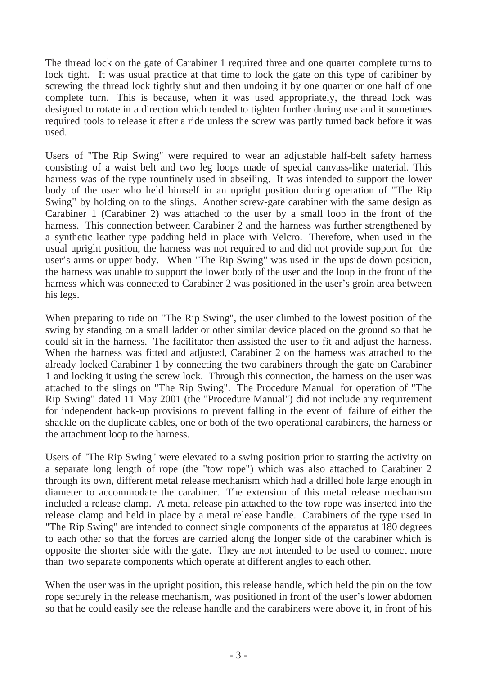The thread lock on the gate of Carabiner 1 required three and one quarter complete turns to lock tight. It was usual practice at that time to lock the gate on this type of caribiner by screwing the thread lock tightly shut and then undoing it by one quarter or one half of one complete turn. This is because, when it was used appropriately, the thread lock was designed to rotate in a direction which tended to tighten further during use and it sometimes required tools to release it after a ride unless the screw was partly turned back before it was used.

Users of "The Rip Swing" were required to wear an adjustable half-belt safety harness consisting of a waist belt and two leg loops made of special canvass-like material. This harness was of the type rountinely used in abseiling. It was intended to support the lower body of the user who held himself in an upright position during operation of "The Rip Swing" by holding on to the slings. Another screw-gate carabiner with the same design as Carabiner 1 (Carabiner 2) was attached to the user by a small loop in the front of the harness. This connection between Carabiner 2 and the harness was further strengthened by a synthetic leather type padding held in place with Velcro. Therefore, when used in the usual upright position, the harness was not required to and did not provide support for the user's arms or upper body. When "The Rip Swing" was used in the upside down position, the harness was unable to support the lower body of the user and the loop in the front of the harness which was connected to Carabiner 2 was positioned in the user's groin area between his legs.

When preparing to ride on "The Rip Swing", the user climbed to the lowest position of the swing by standing on a small ladder or other similar device placed on the ground so that he could sit in the harness. The facilitator then assisted the user to fit and adjust the harness. When the harness was fitted and adjusted, Carabiner 2 on the harness was attached to the already locked Carabiner 1 by connecting the two carabiners through the gate on Carabiner 1 and locking it using the screw lock. Through this connection, the harness on the user was attached to the slings on "The Rip Swing". The Procedure Manual for operation of "The Rip Swing" dated 11 May 2001 (the "Procedure Manual") did not include any requirement for independent back-up provisions to prevent falling in the event of failure of either the shackle on the duplicate cables, one or both of the two operational carabiners, the harness or the attachment loop to the harness.

Users of "The Rip Swing" were elevated to a swing position prior to starting the activity on a separate long length of rope (the "tow rope") which was also attached to Carabiner 2 through its own, different metal release mechanism which had a drilled hole large enough in diameter to accommodate the carabiner. The extension of this metal release mechanism included a release clamp. A metal release pin attached to the tow rope was inserted into the release clamp and held in place by a metal release handle. Carabiners of the type used in "The Rip Swing" are intended to connect single components of the apparatus at 180 degrees to each other so that the forces are carried along the longer side of the carabiner which is opposite the shorter side with the gate. They are not intended to be used to connect more than two separate components which operate at different angles to each other.

When the user was in the upright position, this release handle, which held the pin on the tow rope securely in the release mechanism, was positioned in front of the user's lower abdomen so that he could easily see the release handle and the carabiners were above it, in front of his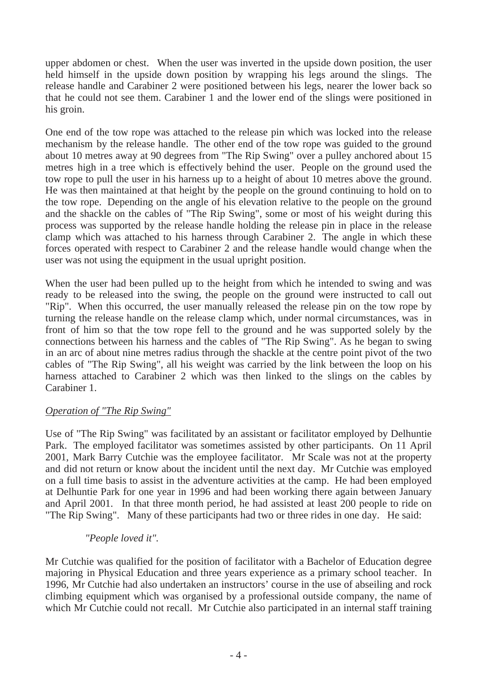upper abdomen or chest. When the user was inverted in the upside down position, the user held himself in the upside down position by wrapping his legs around the slings. The release handle and Carabiner 2 were positioned between his legs, nearer the lower back so that he could not see them. Carabiner 1 and the lower end of the slings were positioned in his groin.

One end of the tow rope was attached to the release pin which was locked into the release mechanism by the release handle. The other end of the tow rope was guided to the ground about 10 metres away at 90 degrees from "The Rip Swing" over a pulley anchored about 15 metres high in a tree which is effectively behind the user. People on the ground used the tow rope to pull the user in his harness up to a height of about 10 metres above the ground. He was then maintained at that height by the people on the ground continuing to hold on to the tow rope. Depending on the angle of his elevation relative to the people on the ground and the shackle on the cables of "The Rip Swing", some or most of his weight during this process was supported by the release handle holding the release pin in place in the release clamp which was attached to his harness through Carabiner 2. The angle in which these forces operated with respect to Carabiner 2 and the release handle would change when the user was not using the equipment in the usual upright position.

When the user had been pulled up to the height from which he intended to swing and was ready to be released into the swing, the people on the ground were instructed to call out "Rip". When this occurred, the user manually released the release pin on the tow rope by turning the release handle on the release clamp which, under normal circumstances, was in front of him so that the tow rope fell to the ground and he was supported solely by the connections between his harness and the cables of "The Rip Swing". As he began to swing in an arc of about nine metres radius through the shackle at the centre point pivot of the two cables of "The Rip Swing", all his weight was carried by the link between the loop on his harness attached to Carabiner 2 which was then linked to the slings on the cables by Carabiner 1.

## *Operation of "The Rip Swing"*

Use of "The Rip Swing" was facilitated by an assistant or facilitator employed by Delhuntie Park. The employed facilitator was sometimes assisted by other participants. On 11 April 2001, Mark Barry Cutchie was the employee facilitator. Mr Scale was not at the property and did not return or know about the incident until the next day. Mr Cutchie was employed on a full time basis to assist in the adventure activities at the camp. He had been employed at Delhuntie Park for one year in 1996 and had been working there again between January and April 2001. In that three month period, he had assisted at least 200 people to ride on "The Rip Swing". Many of these participants had two or three rides in one day. He said:

#### *"People loved it".*

Mr Cutchie was qualified for the position of facilitator with a Bachelor of Education degree majoring in Physical Education and three years experience as a primary school teacher. In 1996, Mr Cutchie had also undertaken an instructors' course in the use of abseiling and rock climbing equipment which was organised by a professional outside company, the name of which Mr Cutchie could not recall. Mr Cutchie also participated in an internal staff training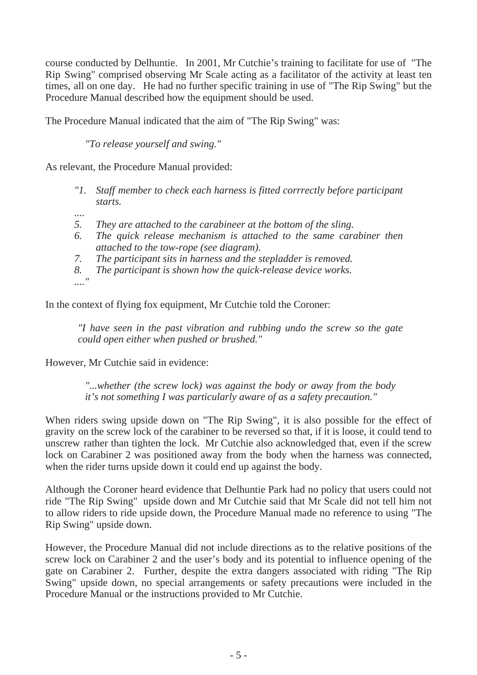course conducted by Delhuntie. In 2001, Mr Cutchie's training to facilitate for use of "The Rip Swing" comprised observing Mr Scale acting as a facilitator of the activity at least ten times, all on one day. He had no further specific training in use of "The Rip Swing" but the Procedure Manual described how the equipment should be used.

The Procedure Manual indicated that the aim of "The Rip Swing" was:

*"To release yourself and swing."*

As relevant, the Procedure Manual provided:

- *"1. Staff member to check each harness is fitted corrrectly before participant starts.*
- *....*
- *5. They are attached to the carabineer at the bottom of the sling.*
- *6. The quick release mechanism is attached to the same carabiner then attached to the tow-rope (see diagram).*
- *7. The participant sits in harness and the stepladder is removed.*

*8. The participant is shown how the quick-release device works.*

*...."*

In the context of flying fox equipment, Mr Cutchie told the Coroner:

*"I have seen in the past vibration and rubbing undo the screw so the gate could open either when pushed or brushed."*

However, Mr Cutchie said in evidence:

*"...whether (the screw lock) was against the body or away from the body it's not something I was particularly aware of as a safety precaution."*

When riders swing upside down on "The Rip Swing", it is also possible for the effect of gravity on the screw lock of the carabiner to be reversed so that, if it is loose, it could tend to unscrew rather than tighten the lock. Mr Cutchie also acknowledged that, even if the screw lock on Carabiner 2 was positioned away from the body when the harness was connected, when the rider turns upside down it could end up against the body.

Although the Coroner heard evidence that Delhuntie Park had no policy that users could not ride "The Rip Swing" upside down and Mr Cutchie said that Mr Scale did not tell him not to allow riders to ride upside down, the Procedure Manual made no reference to using "The Rip Swing" upside down.

However, the Procedure Manual did not include directions as to the relative positions of the screw lock on Carabiner 2 and the user's body and its potential to influence opening of the gate on Carabiner 2. Further, despite the extra dangers associated with riding "The Rip Swing" upside down, no special arrangements or safety precautions were included in the Procedure Manual or the instructions provided to Mr Cutchie.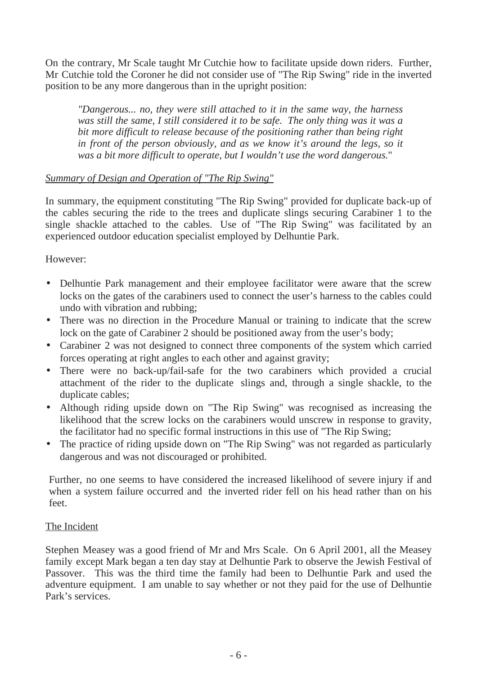On the contrary, Mr Scale taught Mr Cutchie how to facilitate upside down riders. Further, Mr Cutchie told the Coroner he did not consider use of "The Rip Swing" ride in the inverted position to be any more dangerous than in the upright position:

*"Dangerous... no, they were still attached to it in the same way, the harness was still the same, I still considered it to be safe. The only thing was it was a bit more difficult to release because of the positioning rather than being right in front of the person obviously, and as we know it's around the legs, so it was a bit more difficult to operate, but I wouldn't use the word dangerous.*"

# *Summary of Design and Operation of "The Rip Swing"*

In summary, the equipment constituting "The Rip Swing" provided for duplicate back-up of the cables securing the ride to the trees and duplicate slings securing Carabiner 1 to the single shackle attached to the cables. Use of "The Rip Swing" was facilitated by an experienced outdoor education specialist employed by Delhuntie Park.

However:

- Delhuntie Park management and their employee facilitator were aware that the screw locks on the gates of the carabiners used to connect the user's harness to the cables could undo with vibration and rubbing;
- There was no direction in the Procedure Manual or training to indicate that the screw lock on the gate of Carabiner 2 should be positioned away from the user's body;
- Carabiner 2 was not designed to connect three components of the system which carried forces operating at right angles to each other and against gravity;
- There were no back-up/fail-safe for the two carabiners which provided a crucial attachment of the rider to the duplicate slings and, through a single shackle, to the duplicate cables;
- Although riding upside down on "The Rip Swing" was recognised as increasing the likelihood that the screw locks on the carabiners would unscrew in response to gravity, the facilitator had no specific formal instructions in this use of "The Rip Swing;
- The practice of riding upside down on "The Rip Swing" was not regarded as particularly dangerous and was not discouraged or prohibited.

Further, no one seems to have considered the increased likelihood of severe injury if and when a system failure occurred and the inverted rider fell on his head rather than on his feet.

# The Incident

Stephen Measey was a good friend of Mr and Mrs Scale. On 6 April 2001, all the Measey family except Mark began a ten day stay at Delhuntie Park to observe the Jewish Festival of Passover. This was the third time the family had been to Delhuntie Park and used the adventure equipment. I am unable to say whether or not they paid for the use of Delhuntie Park's services.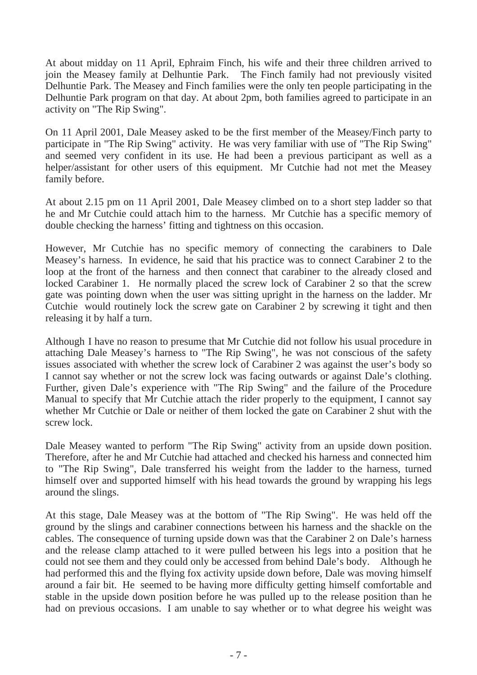At about midday on 11 April, Ephraim Finch, his wife and their three children arrived to join the Measey family at Delhuntie Park. The Finch family had not previously visited Delhuntie Park. The Measey and Finch families were the only ten people participating in the Delhuntie Park program on that day. At about 2pm, both families agreed to participate in an activity on "The Rip Swing".

On 11 April 2001, Dale Measey asked to be the first member of the Measey/Finch party to participate in "The Rip Swing" activity. He was very familiar with use of "The Rip Swing" and seemed very confident in its use. He had been a previous participant as well as a helper/assistant for other users of this equipment. Mr Cutchie had not met the Measey family before.

At about 2.15 pm on 11 April 2001, Dale Measey climbed on to a short step ladder so that he and Mr Cutchie could attach him to the harness. Mr Cutchie has a specific memory of double checking the harness' fitting and tightness on this occasion.

However, Mr Cutchie has no specific memory of connecting the carabiners to Dale Measey's harness. In evidence, he said that his practice was to connect Carabiner 2 to the loop at the front of the harness and then connect that carabiner to the already closed and locked Carabiner 1. He normally placed the screw lock of Carabiner 2 so that the screw gate was pointing down when the user was sitting upright in the harness on the ladder. Mr Cutchie would routinely lock the screw gate on Carabiner 2 by screwing it tight and then releasing it by half a turn.

Although I have no reason to presume that Mr Cutchie did not follow his usual procedure in attaching Dale Measey's harness to "The Rip Swing", he was not conscious of the safety issues associated with whether the screw lock of Carabiner 2 was against the user's body so I cannot say whether or not the screw lock was facing outwards or against Dale's clothing. Further, given Dale's experience with "The Rip Swing" and the failure of the Procedure Manual to specify that Mr Cutchie attach the rider properly to the equipment, I cannot say whether Mr Cutchie or Dale or neither of them locked the gate on Carabiner 2 shut with the screw lock.

Dale Measey wanted to perform "The Rip Swing" activity from an upside down position. Therefore, after he and Mr Cutchie had attached and checked his harness and connected him to "The Rip Swing", Dale transferred his weight from the ladder to the harness, turned himself over and supported himself with his head towards the ground by wrapping his legs around the slings.

At this stage, Dale Measey was at the bottom of "The Rip Swing". He was held off the ground by the slings and carabiner connections between his harness and the shackle on the cables. The consequence of turning upside down was that the Carabiner 2 on Dale's harness and the release clamp attached to it were pulled between his legs into a position that he could not see them and they could only be accessed from behind Dale's body. Although he had performed this and the flying fox activity upside down before, Dale was moving himself around a fair bit. He seemed to be having more difficulty getting himself comfortable and stable in the upside down position before he was pulled up to the release position than he had on previous occasions. I am unable to say whether or to what degree his weight was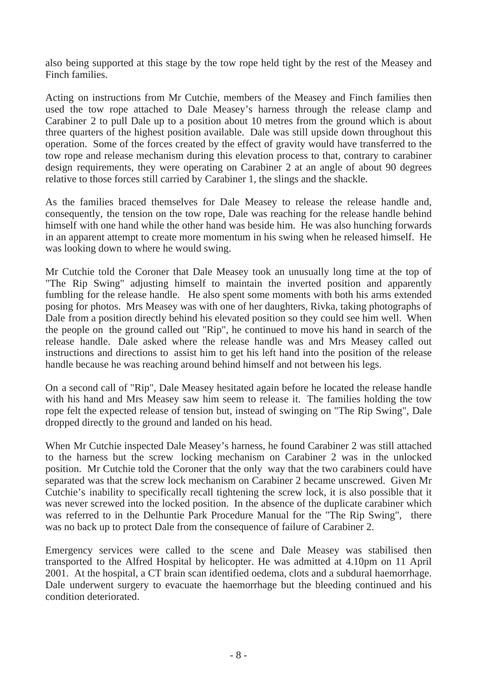also being supported at this stage by the tow rope held tight by the rest of the Measey and Finch families.

Acting on instructions from Mr Cutchie, members of the Measey and Finch families then used the tow rope attached to Dale Measey's harness through the release clamp and Carabiner 2 to pull Dale up to a position about 10 metres from the ground which is about three quarters of the highest position available. Dale was still upside down throughout this operation. Some of the forces created by the effect of gravity would have transferred to the tow rope and release mechanism during this elevation process to that, contrary to carabiner design requirements, they were operating on Carabiner 2 at an angle of about 90 degrees relative to those forces still carried by Carabiner 1, the slings and the shackle.

As the families braced themselves for Dale Measey to release the release handle and, consequently, the tension on the tow rope, Dale was reaching for the release handle behind himself with one hand while the other hand was beside him. He was also hunching forwards in an apparent attempt to create more momentum in his swing when he released himself. He was looking down to where he would swing.

Mr Cutchie told the Coroner that Dale Measey took an unusually long time at the top of "The Rip Swing" adjusting himself to maintain the inverted position and apparently fumbling for the release handle. He also spent some moments with both his arms extended posing for photos. Mrs Measey was with one of her daughters, Rivka, taking photographs of Dale from a position directly behind his elevated position so they could see him well. When the people on the ground called out "Rip", he continued to move his hand in search of the release handle. Dale asked where the release handle was and Mrs Measey called out instructions and directions to assist him to get his left hand into the position of the release handle because he was reaching around behind himself and not between his legs.

On a second call of "Rip", Dale Measey hesitated again before he located the release handle with his hand and Mrs Measey saw him seem to release it. The families holding the tow rope felt the expected release of tension but, instead of swinging on "The Rip Swing", Dale dropped directly to the ground and landed on his head.

When Mr Cutchie inspected Dale Measey's harness, he found Carabiner 2 was still attached to the harness but the screw locking mechanism on Carabiner 2 was in the unlocked position. Mr Cutchie told the Coroner that the only way that the two carabiners could have separated was that the screw lock mechanism on Carabiner 2 became unscrewed. Given Mr Cutchie's inability to specifically recall tightening the screw lock, it is also possible that it was never screwed into the locked position. In the absence of the duplicate carabiner which was referred to in the Delhuntie Park Procedure Manual for the "The Rip Swing", there was no back up to protect Dale from the consequence of failure of Carabiner 2.

Emergency services were called to the scene and Dale Measey was stabilised then transported to the Alfred Hospital by helicopter. He was admitted at 4.10pm on 11 April 2001. At the hospital, a CT brain scan identified oedema, clots and a subdural haemorrhage. Dale underwent surgery to evacuate the haemorrhage but the bleeding continued and his condition deteriorated.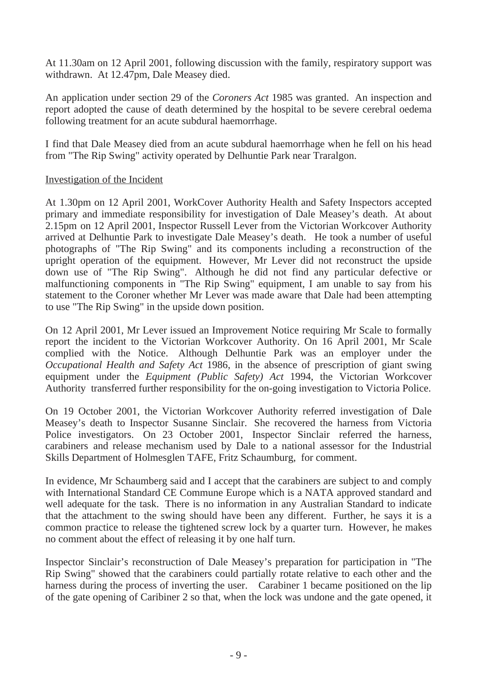At 11.30am on 12 April 2001, following discussion with the family, respiratory support was withdrawn. At 12.47pm, Dale Measey died.

An application under section 29 of the *Coroners Act* 1985 was granted. An inspection and report adopted the cause of death determined by the hospital to be severe cerebral oedema following treatment for an acute subdural haemorrhage.

I find that Dale Measey died from an acute subdural haemorrhage when he fell on his head from "The Rip Swing" activity operated by Delhuntie Park near Traralgon.

#### Investigation of the Incident

At 1.30pm on 12 April 2001, WorkCover Authority Health and Safety Inspectors accepted primary and immediate responsibility for investigation of Dale Measey's death. At about 2.15pm on 12 April 2001, Inspector Russell Lever from the Victorian Workcover Authority arrived at Delhuntie Park to investigate Dale Measey's death. He took a number of useful photographs of "The Rip Swing" and its components including a reconstruction of the upright operation of the equipment. However, Mr Lever did not reconstruct the upside down use of "The Rip Swing". Although he did not find any particular defective or malfunctioning components in "The Rip Swing" equipment, I am unable to say from his statement to the Coroner whether Mr Lever was made aware that Dale had been attempting to use "The Rip Swing" in the upside down position.

On 12 April 2001, Mr Lever issued an Improvement Notice requiring Mr Scale to formally report the incident to the Victorian Workcover Authority. On 16 April 2001, Mr Scale complied with the Notice. Although Delhuntie Park was an employer under the *Occupational Health and Safety Act* 1986, in the absence of prescription of giant swing equipment under the *Equipment (Public Safety) Act* 1994, the Victorian Workcover Authority transferred further responsibility for the on-going investigation to Victoria Police.

On 19 October 2001, the Victorian Workcover Authority referred investigation of Dale Measey's death to Inspector Susanne Sinclair. She recovered the harness from Victoria Police investigators. On 23 October 2001, Inspector Sinclair referred the harness, carabiners and release mechanism used by Dale to a national assessor for the Industrial Skills Department of Holmesglen TAFE, Fritz Schaumburg, for comment.

In evidence, Mr Schaumberg said and I accept that the carabiners are subject to and comply with International Standard CE Commune Europe which is a NATA approved standard and well adequate for the task. There is no information in any Australian Standard to indicate that the attachment to the swing should have been any different. Further, he says it is a common practice to release the tightened screw lock by a quarter turn. However, he makes no comment about the effect of releasing it by one half turn.

Inspector Sinclair's reconstruction of Dale Measey's preparation for participation in "The Rip Swing" showed that the carabiners could partially rotate relative to each other and the harness during the process of inverting the user. Carabiner 1 became positioned on the lip of the gate opening of Caribiner 2 so that, when the lock was undone and the gate opened, it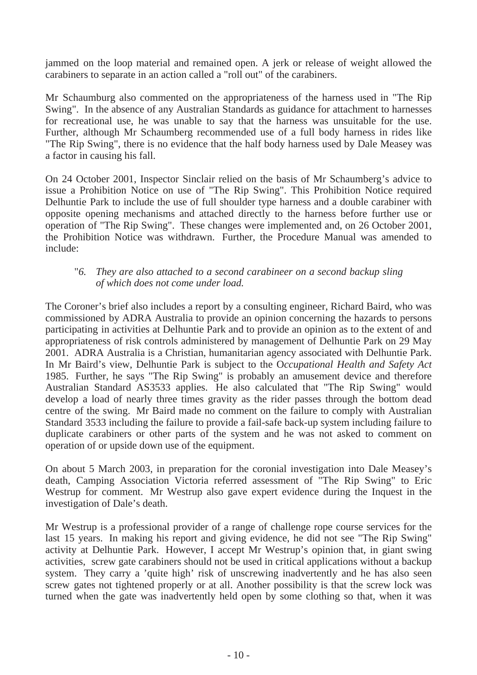jammed on the loop material and remained open. A jerk or release of weight allowed the carabiners to separate in an action called a "roll out" of the carabiners.

Mr Schaumburg also commented on the appropriateness of the harness used in "The Rip Swing". In the absence of any Australian Standards as guidance for attachment to harnesses for recreational use, he was unable to say that the harness was unsuitable for the use. Further, although Mr Schaumberg recommended use of a full body harness in rides like "The Rip Swing", there is no evidence that the half body harness used by Dale Measey was a factor in causing his fall.

On 24 October 2001, Inspector Sinclair relied on the basis of Mr Schaumberg's advice to issue a Prohibition Notice on use of "The Rip Swing". This Prohibition Notice required Delhuntie Park to include the use of full shoulder type harness and a double carabiner with opposite opening mechanisms and attached directly to the harness before further use or operation of "The Rip Swing". These changes were implemented and, on 26 October 2001, the Prohibition Notice was withdrawn. Further, the Procedure Manual was amended to include:

#### "*6. They are also attached to a second carabineer on a second backup sling of which does not come under load.*

The Coroner's brief also includes a report by a consulting engineer, Richard Baird, who was commissioned by ADRA Australia to provide an opinion concerning the hazards to persons participating in activities at Delhuntie Park and to provide an opinion as to the extent of and appropriateness of risk controls administered by management of Delhuntie Park on 29 May 2001. ADRA Australia is a Christian, humanitarian agency associated with Delhuntie Park. In Mr Baird's view, Delhuntie Park is subject to the O*ccupational Health and Safety Act*  1985. Further, he says "The Rip Swing" is probably an amusement device and therefore Australian Standard AS3533 applies. He also calculated that "The Rip Swing" would develop a load of nearly three times gravity as the rider passes through the bottom dead centre of the swing. Mr Baird made no comment on the failure to comply with Australian Standard 3533 including the failure to provide a fail-safe back-up system including failure to duplicate carabiners or other parts of the system and he was not asked to comment on operation of or upside down use of the equipment.

On about 5 March 2003, in preparation for the coronial investigation into Dale Measey's death, Camping Association Victoria referred assessment of "The Rip Swing" to Eric Westrup for comment. Mr Westrup also gave expert evidence during the Inquest in the investigation of Dale's death.

Mr Westrup is a professional provider of a range of challenge rope course services for the last 15 years. In making his report and giving evidence, he did not see "The Rip Swing" activity at Delhuntie Park. However, I accept Mr Westrup's opinion that, in giant swing activities, screw gate carabiners should not be used in critical applications without a backup system. They carry a 'quite high' risk of unscrewing inadvertently and he has also seen screw gates not tightened properly or at all. Another possibility is that the screw lock was turned when the gate was inadvertently held open by some clothing so that, when it was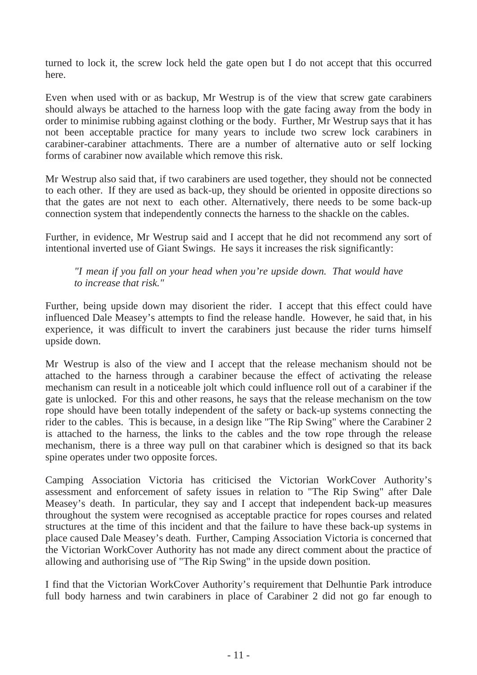turned to lock it, the screw lock held the gate open but I do not accept that this occurred here.

Even when used with or as backup, Mr Westrup is of the view that screw gate carabiners should always be attached to the harness loop with the gate facing away from the body in order to minimise rubbing against clothing or the body. Further, Mr Westrup says that it has not been acceptable practice for many years to include two screw lock carabiners in carabiner-carabiner attachments. There are a number of alternative auto or self locking forms of carabiner now available which remove this risk.

Mr Westrup also said that, if two carabiners are used together, they should not be connected to each other. If they are used as back-up, they should be oriented in opposite directions so that the gates are not next to each other. Alternatively, there needs to be some back-up connection system that independently connects the harness to the shackle on the cables.

Further, in evidence, Mr Westrup said and I accept that he did not recommend any sort of intentional inverted use of Giant Swings. He says it increases the risk significantly:

*"I mean if you fall on your head when you're upside down. That would have to increase that risk."*

Further, being upside down may disorient the rider. I accept that this effect could have influenced Dale Measey's attempts to find the release handle. However, he said that, in his experience, it was difficult to invert the carabiners just because the rider turns himself upside down.

Mr Westrup is also of the view and I accept that the release mechanism should not be attached to the harness through a carabiner because the effect of activating the release mechanism can result in a noticeable jolt which could influence roll out of a carabiner if the gate is unlocked. For this and other reasons, he says that the release mechanism on the tow rope should have been totally independent of the safety or back-up systems connecting the rider to the cables. This is because, in a design like "The Rip Swing" where the Carabiner 2 is attached to the harness, the links to the cables and the tow rope through the release mechanism, there is a three way pull on that carabiner which is designed so that its back spine operates under two opposite forces.

Camping Association Victoria has criticised the Victorian WorkCover Authority's assessment and enforcement of safety issues in relation to "The Rip Swing" after Dale Measey's death. In particular, they say and I accept that independent back-up measures throughout the system were recognised as acceptable practice for ropes courses and related structures at the time of this incident and that the failure to have these back-up systems in place caused Dale Measey's death. Further, Camping Association Victoria is concerned that the Victorian WorkCover Authority has not made any direct comment about the practice of allowing and authorising use of "The Rip Swing" in the upside down position.

I find that the Victorian WorkCover Authority's requirement that Delhuntie Park introduce full body harness and twin carabiners in place of Carabiner 2 did not go far enough to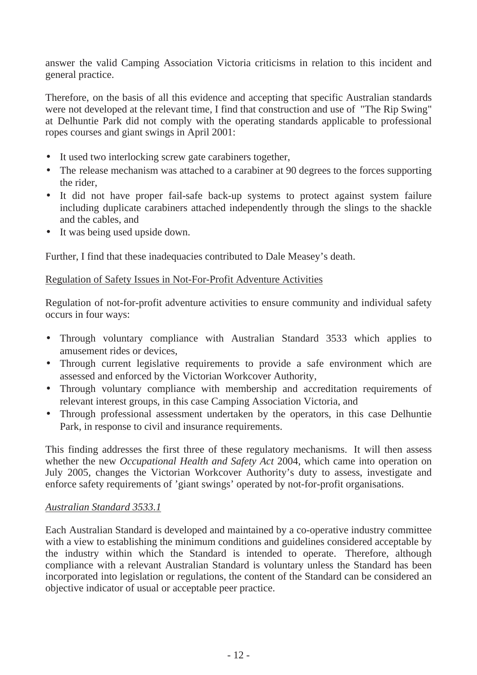answer the valid Camping Association Victoria criticisms in relation to this incident and general practice.

Therefore, on the basis of all this evidence and accepting that specific Australian standards were not developed at the relevant time, I find that construction and use of "The Rip Swing" at Delhuntie Park did not comply with the operating standards applicable to professional ropes courses and giant swings in April 2001:

- It used two interlocking screw gate carabiners together,
- The release mechanism was attached to a carabiner at 90 degrees to the forces supporting the rider,
- It did not have proper fail-safe back-up systems to protect against system failure including duplicate carabiners attached independently through the slings to the shackle and the cables, and
- It was being used upside down.

Further, I find that these inadequacies contributed to Dale Measey's death.

# Regulation of Safety Issues in Not-For-Profit Adventure Activities

Regulation of not-for-profit adventure activities to ensure community and individual safety occurs in four ways:

- Through voluntary compliance with Australian Standard 3533 which applies to amusement rides or devices,
- Through current legislative requirements to provide a safe environment which are assessed and enforced by the Victorian Workcover Authority,
- Through voluntary compliance with membership and accreditation requirements of relevant interest groups, in this case Camping Association Victoria, and
- Through professional assessment undertaken by the operators, in this case Delhuntie Park, in response to civil and insurance requirements.

This finding addresses the first three of these regulatory mechanisms. It will then assess whether the new *Occupational Health and Safety Act* 2004, which came into operation on July 2005, changes the Victorian Workcover Authority's duty to assess, investigate and enforce safety requirements of 'giant swings' operated by not-for-profit organisations.

## *Australian Standard 3533.1*

Each Australian Standard is developed and maintained by a co-operative industry committee with a view to establishing the minimum conditions and guidelines considered acceptable by the industry within which the Standard is intended to operate. Therefore, although compliance with a relevant Australian Standard is voluntary unless the Standard has been incorporated into legislation or regulations, the content of the Standard can be considered an objective indicator of usual or acceptable peer practice.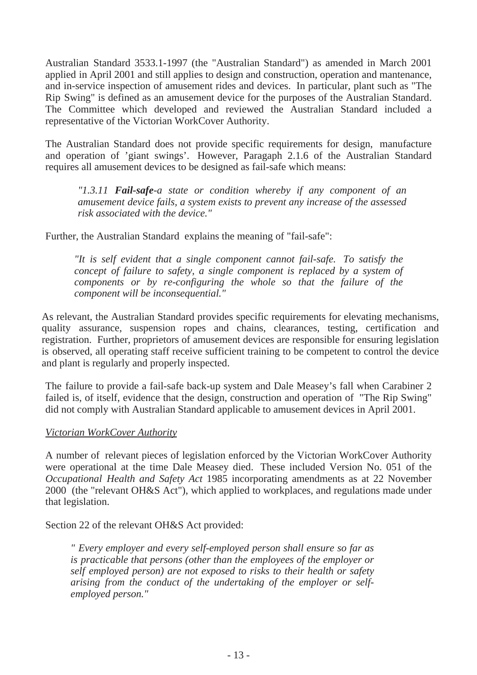Australian Standard 3533.1-1997 (the "Australian Standard") as amended in March 2001 applied in April 2001 and still applies to design and construction, operation and mantenance, and in-service inspection of amusement rides and devices. In particular, plant such as "The Rip Swing" is defined as an amusement device for the purposes of the Australian Standard. The Committee which developed and reviewed the Australian Standard included a representative of the Victorian WorkCover Authority.

The Australian Standard does not provide specific requirements for design, manufacture and operation of 'giant swings'. However, Paragaph 2.1.6 of the Australian Standard requires all amusement devices to be designed as fail-safe which means:

*"1.3.11 Fail-safe-a state or condition whereby if any component of an amusement device fails, a system exists to prevent any increase of the assessed risk associated with the device."* 

Further, the Australian Standard explains the meaning of "fail-safe":

*"It is self evident that a single component cannot fail-safe. To satisfy the concept of failure to safety, a single component is replaced by a system of components or by re-configuring the whole so that the failure of the component will be inconsequential."* 

As relevant, the Australian Standard provides specific requirements for elevating mechanisms, quality assurance, suspension ropes and chains, clearances, testing, certification and registration. Further, proprietors of amusement devices are responsible for ensuring legislation is observed, all operating staff receive sufficient training to be competent to control the device and plant is regularly and properly inspected.

The failure to provide a fail-safe back-up system and Dale Measey's fall when Carabiner 2 failed is, of itself, evidence that the design, construction and operation of "The Rip Swing" did not comply with Australian Standard applicable to amusement devices in April 2001.

#### *Victorian WorkCover Authority*

A number of relevant pieces of legislation enforced by the Victorian WorkCover Authority were operational at the time Dale Measey died. These included Version No. 051 of the *Occupational Health and Safety Act* 1985 incorporating amendments as at 22 November 2000 (the "relevant OH&S Act"), which applied to workplaces, and regulations made under that legislation.

Section 22 of the relevant OH&S Act provided:

*" Every employer and every self-employed person shall ensure so far as is practicable that persons (other than the employees of the employer or self employed person) are not exposed to risks to their health or safety arising from the conduct of the undertaking of the employer or selfemployed person."*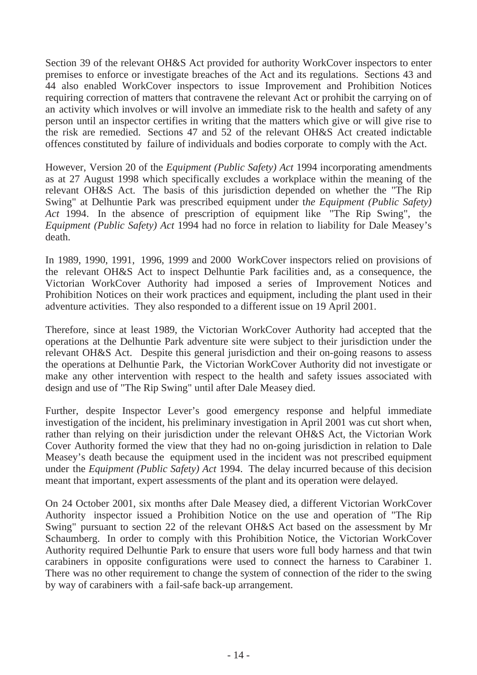Section 39 of the relevant OH&S Act provided for authority WorkCover inspectors to enter premises to enforce or investigate breaches of the Act and its regulations. Sections 43 and 44 also enabled WorkCover inspectors to issue Improvement and Prohibition Notices requiring correction of matters that contravene the relevant Act or prohibit the carrying on of an activity which involves or will involve an immediate risk to the health and safety of any person until an inspector certifies in writing that the matters which give or will give rise to the risk are remedied. Sections 47 and 52 of the relevant OH&S Act created indictable offences constituted by failure of individuals and bodies corporate to comply with the Act.

However, Version 20 of the *Equipment (Public Safety) Act* 1994 incorporating amendments as at 27 August 1998 which specifically excludes a workplace within the meaning of the relevant OH&S Act. The basis of this jurisdiction depended on whether the "The Rip Swing" at Delhuntie Park was prescribed equipment under t*he Equipment (Public Safety) Act* 1994. In the absence of prescription of equipment like "The Rip Swing", the *Equipment (Public Safety) Act* 1994 had no force in relation to liability for Dale Measey's death.

In 1989, 1990, 1991, 1996, 1999 and 2000 WorkCover inspectors relied on provisions of the relevant OH&S Act to inspect Delhuntie Park facilities and, as a consequence, the Victorian WorkCover Authority had imposed a series of Improvement Notices and Prohibition Notices on their work practices and equipment, including the plant used in their adventure activities. They also responded to a different issue on 19 April 2001.

Therefore, since at least 1989, the Victorian WorkCover Authority had accepted that the operations at the Delhuntie Park adventure site were subject to their jurisdiction under the relevant OH&S Act. Despite this general jurisdiction and their on-going reasons to assess the operations at Delhuntie Park, the Victorian WorkCover Authority did not investigate or make any other intervention with respect to the health and safety issues associated with design and use of "The Rip Swing" until after Dale Measey died.

Further, despite Inspector Lever's good emergency response and helpful immediate investigation of the incident, his preliminary investigation in April 2001 was cut short when, rather than relying on their jurisdiction under the relevant OH&S Act, the Victorian Work Cover Authority formed the view that they had no on-going jurisdiction in relation to Dale Measey's death because the equipment used in the incident was not prescribed equipment under the *Equipment (Public Safety) Act* 1994. The delay incurred because of this decision meant that important, expert assessments of the plant and its operation were delayed.

On 24 October 2001, six months after Dale Measey died, a different Victorian WorkCover Authority inspector issued a Prohibition Notice on the use and operation of "The Rip Swing" pursuant to section 22 of the relevant OH&S Act based on the assessment by Mr Schaumberg. In order to comply with this Prohibition Notice, the Victorian WorkCover Authority required Delhuntie Park to ensure that users wore full body harness and that twin carabiners in opposite configurations were used to connect the harness to Carabiner 1. There was no other requirement to change the system of connection of the rider to the swing by way of carabiners with a fail-safe back-up arrangement.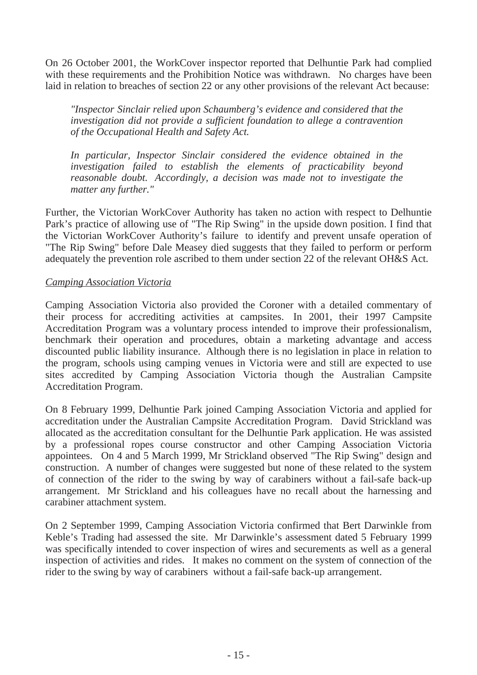On 26 October 2001, the WorkCover inspector reported that Delhuntie Park had complied with these requirements and the Prohibition Notice was withdrawn. No charges have been laid in relation to breaches of section 22 or any other provisions of the relevant Act because:

*"Inspector Sinclair relied upon Schaumberg's evidence and considered that the investigation did not provide a sufficient foundation to allege a contravention of the Occupational Health and Safety Act.*

*In particular, Inspector Sinclair considered the evidence obtained in the investigation failed to establish the elements of practicability beyond reasonable doubt. Accordingly, a decision was made not to investigate the matter any further."*

Further, the Victorian WorkCover Authority has taken no action with respect to Delhuntie Park's practice of allowing use of "The Rip Swing" in the upside down position. I find that the Victorian WorkCover Authority's failure to identify and prevent unsafe operation of "The Rip Swing" before Dale Measey died suggests that they failed to perform or perform adequately the prevention role ascribed to them under section 22 of the relevant OH&S Act.

## *Camping Association Victoria*

Camping Association Victoria also provided the Coroner with a detailed commentary of their process for accrediting activities at campsites. In 2001, their 1997 Campsite Accreditation Program was a voluntary process intended to improve their professionalism, benchmark their operation and procedures, obtain a marketing advantage and access discounted public liability insurance. Although there is no legislation in place in relation to the program, schools using camping venues in Victoria were and still are expected to use sites accredited by Camping Association Victoria though the Australian Campsite Accreditation Program.

On 8 February 1999, Delhuntie Park joined Camping Association Victoria and applied for accreditation under the Australian Campsite Accreditation Program. David Strickland was allocated as the accreditation consultant for the Delhuntie Park application. He was assisted by a professional ropes course constructor and other Camping Association Victoria appointees. On 4 and 5 March 1999, Mr Strickland observed "The Rip Swing" design and construction. A number of changes were suggested but none of these related to the system of connection of the rider to the swing by way of carabiners without a fail-safe back-up arrangement. Mr Strickland and his colleagues have no recall about the harnessing and carabiner attachment system.

On 2 September 1999, Camping Association Victoria confirmed that Bert Darwinkle from Keble's Trading had assessed the site. Mr Darwinkle's assessment dated 5 February 1999 was specifically intended to cover inspection of wires and securements as well as a general inspection of activities and rides. It makes no comment on the system of connection of the rider to the swing by way of carabiners without a fail-safe back-up arrangement.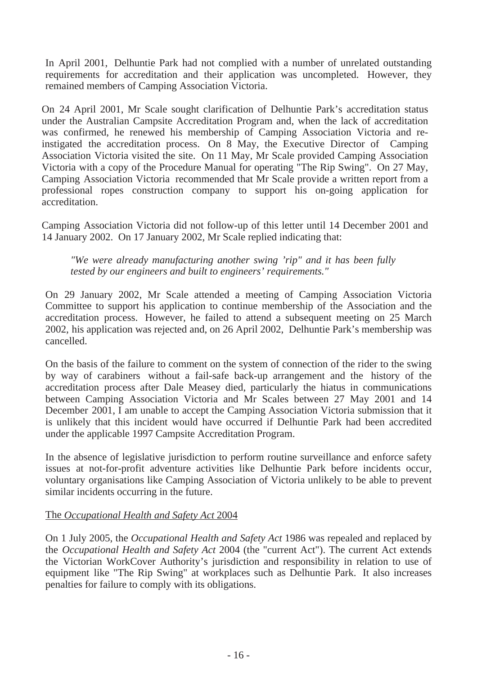In April 2001, Delhuntie Park had not complied with a number of unrelated outstanding requirements for accreditation and their application was uncompleted. However, they remained members of Camping Association Victoria.

On 24 April 2001, Mr Scale sought clarification of Delhuntie Park's accreditation status under the Australian Campsite Accreditation Program and, when the lack of accreditation was confirmed, he renewed his membership of Camping Association Victoria and reinstigated the accreditation process. On 8 May, the Executive Director of Camping Association Victoria visited the site. On 11 May, Mr Scale provided Camping Association Victoria with a copy of the Procedure Manual for operating "The Rip Swing". On 27 May, Camping Association Victoria recommended that Mr Scale provide a written report from a professional ropes construction company to support his on-going application for accreditation.

Camping Association Victoria did not follow-up of this letter until 14 December 2001 and 14 January 2002. On 17 January 2002, Mr Scale replied indicating that:

*"We were already manufacturing another swing 'rip" and it has been fully tested by our engineers and built to engineers' requirements."*

On 29 January 2002, Mr Scale attended a meeting of Camping Association Victoria Committee to support his application to continue membership of the Association and the accreditation process. However, he failed to attend a subsequent meeting on 25 March 2002, his application was rejected and, on 26 April 2002, Delhuntie Park's membership was cancelled.

On the basis of the failure to comment on the system of connection of the rider to the swing by way of carabiners without a fail-safe back-up arrangement and the history of the accreditation process after Dale Measey died, particularly the hiatus in communications between Camping Association Victoria and Mr Scales between 27 May 2001 and 14 December 2001, I am unable to accept the Camping Association Victoria submission that it is unlikely that this incident would have occurred if Delhuntie Park had been accredited under the applicable 1997 Campsite Accreditation Program.

In the absence of legislative jurisdiction to perform routine surveillance and enforce safety issues at not-for-profit adventure activities like Delhuntie Park before incidents occur, voluntary organisations like Camping Association of Victoria unlikely to be able to prevent similar incidents occurring in the future.

## The *Occupational Health and Safety Act* 2004

On 1 July 2005, the *Occupational Health and Safety Act* 1986 was repealed and replaced by the *Occupational Health and Safety Act* 2004 (the "current Act"). The current Act extends the Victorian WorkCover Authority's jurisdiction and responsibility in relation to use of equipment like "The Rip Swing" at workplaces such as Delhuntie Park. It also increases penalties for failure to comply with its obligations.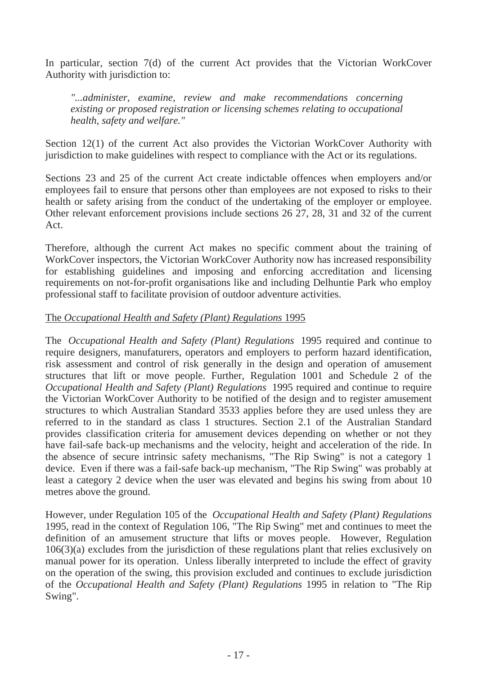In particular, section 7(d) of the current Act provides that the Victorian WorkCover Authority with jurisdiction to:

*"...administer, examine, review and make recommendations concerning existing or proposed registration or licensing schemes relating to occupational health, safety and welfare."*

Section 12(1) of the current Act also provides the Victorian WorkCover Authority with jurisdiction to make guidelines with respect to compliance with the Act or its regulations.

Sections 23 and 25 of the current Act create indictable offences when employers and/or employees fail to ensure that persons other than employees are not exposed to risks to their health or safety arising from the conduct of the undertaking of the employer or employee. Other relevant enforcement provisions include sections 26 27, 28, 31 and 32 of the current Act.

Therefore, although the current Act makes no specific comment about the training of WorkCover inspectors, the Victorian WorkCover Authority now has increased responsibility for establishing guidelines and imposing and enforcing accreditation and licensing requirements on not-for-profit organisations like and including Delhuntie Park who employ professional staff to facilitate provision of outdoor adventure activities.

## The *Occupational Health and Safety (Plant) Regulations* 1995

The *Occupational Health and Safety (Plant) Regulations* 1995 required and continue to require designers, manufaturers, operators and employers to perform hazard identification, risk assessment and control of risk generally in the design and operation of amusement structures that lift or move people. Further, Regulation 1001 and Schedule 2 of the *Occupational Health and Safety (Plant) Regulations* 1995 required and continue to require the Victorian WorkCover Authority to be notified of the design and to register amusement structures to which Australian Standard 3533 applies before they are used unless they are referred to in the standard as class 1 structures. Section 2.1 of the Australian Standard provides classification criteria for amusement devices depending on whether or not they have fail-safe back-up mechanisms and the velocity, height and acceleration of the ride. In the absence of secure intrinsic safety mechanisms, "The Rip Swing" is not a category 1 device. Even if there was a fail-safe back-up mechanism, "The Rip Swing" was probably at least a category 2 device when the user was elevated and begins his swing from about 10 metres above the ground.

However, under Regulation 105 of the *Occupational Health and Safety (Plant) Regulations* 1995, read in the context of Regulation 106, "The Rip Swing" met and continues to meet the definition of an amusement structure that lifts or moves people. However, Regulation 106(3)(a) excludes from the jurisdiction of these regulations plant that relies exclusively on manual power for its operation. Unless liberally interpreted to include the effect of gravity on the operation of the swing, this provision excluded and continues to exclude jurisdiction of the *Occupational Health and Safety (Plant) Regulations* 1995 in relation to "The Rip Swing".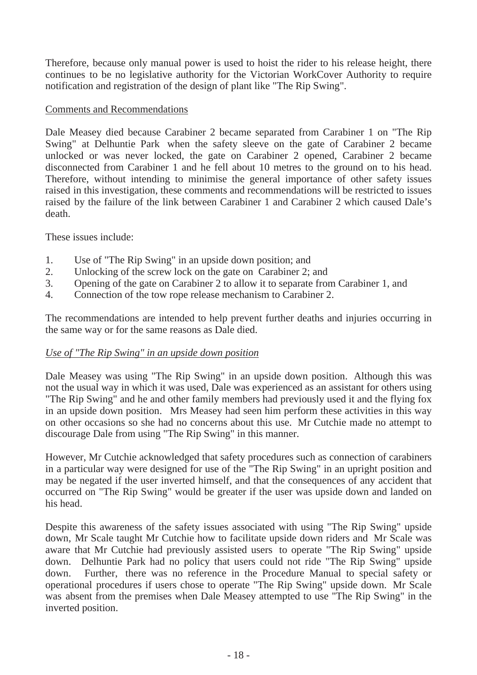Therefore, because only manual power is used to hoist the rider to his release height, there continues to be no legislative authority for the Victorian WorkCover Authority to require notification and registration of the design of plant like "The Rip Swing".

## Comments and Recommendations

Dale Measey died because Carabiner 2 became separated from Carabiner 1 on "The Rip Swing" at Delhuntie Park when the safety sleeve on the gate of Carabiner 2 became unlocked or was never locked, the gate on Carabiner 2 opened, Carabiner 2 became disconnected from Carabiner 1 and he fell about 10 metres to the ground on to his head. Therefore, without intending to minimise the general importance of other safety issues raised in this investigation, these comments and recommendations will be restricted to issues raised by the failure of the link between Carabiner 1 and Carabiner 2 which caused Dale's death.

These issues include:

- 1. Use of "The Rip Swing" in an upside down position; and
- 2. Unlocking of the screw lock on the gate on Carabiner 2; and
- 3. Opening of the gate on Carabiner 2 to allow it to separate from Carabiner 1, and
- 4. Connection of the tow rope release mechanism to Carabiner 2.

The recommendations are intended to help prevent further deaths and injuries occurring in the same way or for the same reasons as Dale died.

## *Use of "The Rip Swing" in an upside down position*

Dale Measey was using "The Rip Swing" in an upside down position. Although this was not the usual way in which it was used, Dale was experienced as an assistant for others using "The Rip Swing" and he and other family members had previously used it and the flying fox in an upside down position. Mrs Measey had seen him perform these activities in this way on other occasions so she had no concerns about this use. Mr Cutchie made no attempt to discourage Dale from using "The Rip Swing" in this manner.

However, Mr Cutchie acknowledged that safety procedures such as connection of carabiners in a particular way were designed for use of the "The Rip Swing" in an upright position and may be negated if the user inverted himself, and that the consequences of any accident that occurred on "The Rip Swing" would be greater if the user was upside down and landed on his head.

Despite this awareness of the safety issues associated with using "The Rip Swing" upside down, Mr Scale taught Mr Cutchie how to facilitate upside down riders and Mr Scale was aware that Mr Cutchie had previously assisted users to operate "The Rip Swing" upside down. Delhuntie Park had no policy that users could not ride "The Rip Swing" upside down. Further, there was no reference in the Procedure Manual to special safety or operational procedures if users chose to operate "The Rip Swing" upside down. Mr Scale was absent from the premises when Dale Measey attempted to use "The Rip Swing" in the inverted position.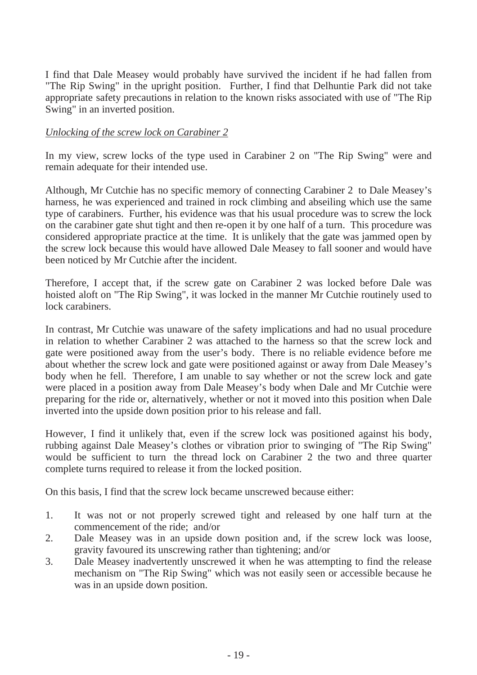I find that Dale Measey would probably have survived the incident if he had fallen from "The Rip Swing" in the upright position. Further, I find that Delhuntie Park did not take appropriate safety precautions in relation to the known risks associated with use of "The Rip Swing" in an inverted position.

#### *Unlocking of the screw lock on Carabiner 2*

In my view, screw locks of the type used in Carabiner 2 on "The Rip Swing" were and remain adequate for their intended use.

Although, Mr Cutchie has no specific memory of connecting Carabiner 2 to Dale Measey's harness, he was experienced and trained in rock climbing and abseiling which use the same type of carabiners. Further, his evidence was that his usual procedure was to screw the lock on the carabiner gate shut tight and then re-open it by one half of a turn. This procedure was considered appropriate practice at the time. It is unlikely that the gate was jammed open by the screw lock because this would have allowed Dale Measey to fall sooner and would have been noticed by Mr Cutchie after the incident.

Therefore, I accept that, if the screw gate on Carabiner 2 was locked before Dale was hoisted aloft on "The Rip Swing", it was locked in the manner Mr Cutchie routinely used to lock carabiners.

In contrast, Mr Cutchie was unaware of the safety implications and had no usual procedure in relation to whether Carabiner 2 was attached to the harness so that the screw lock and gate were positioned away from the user's body. There is no reliable evidence before me about whether the screw lock and gate were positioned against or away from Dale Measey's body when he fell. Therefore, I am unable to say whether or not the screw lock and gate were placed in a position away from Dale Measey's body when Dale and Mr Cutchie were preparing for the ride or, alternatively, whether or not it moved into this position when Dale inverted into the upside down position prior to his release and fall.

However, I find it unlikely that, even if the screw lock was positioned against his body, rubbing against Dale Measey's clothes or vibration prior to swinging of "The Rip Swing" would be sufficient to turn the thread lock on Carabiner 2 the two and three quarter complete turns required to release it from the locked position.

On this basis, I find that the screw lock became unscrewed because either:

- 1. It was not or not properly screwed tight and released by one half turn at the commencement of the ride; and/or
- 2. Dale Measey was in an upside down position and, if the screw lock was loose, gravity favoured its unscrewing rather than tightening; and/or
- 3. Dale Measey inadvertently unscrewed it when he was attempting to find the release mechanism on "The Rip Swing" which was not easily seen or accessible because he was in an upside down position.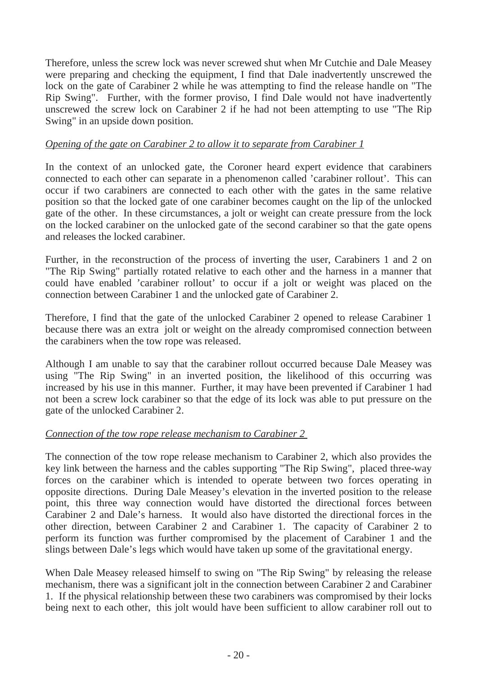Therefore, unless the screw lock was never screwed shut when Mr Cutchie and Dale Measey were preparing and checking the equipment, I find that Dale inadvertently unscrewed the lock on the gate of Carabiner 2 while he was attempting to find the release handle on "The Rip Swing". Further, with the former proviso, I find Dale would not have inadvertently unscrewed the screw lock on Carabiner 2 if he had not been attempting to use "The Rip Swing" in an upside down position.

# *Opening of the gate on Carabiner 2 to allow it to separate from Carabiner 1*

In the context of an unlocked gate, the Coroner heard expert evidence that carabiners connected to each other can separate in a phenomenon called 'carabiner rollout'. This can occur if two carabiners are connected to each other with the gates in the same relative position so that the locked gate of one carabiner becomes caught on the lip of the unlocked gate of the other. In these circumstances, a jolt or weight can create pressure from the lock on the locked carabiner on the unlocked gate of the second carabiner so that the gate opens and releases the locked carabiner.

Further, in the reconstruction of the process of inverting the user, Carabiners 1 and 2 on "The Rip Swing" partially rotated relative to each other and the harness in a manner that could have enabled 'carabiner rollout' to occur if a jolt or weight was placed on the connection between Carabiner 1 and the unlocked gate of Carabiner 2.

Therefore, I find that the gate of the unlocked Carabiner 2 opened to release Carabiner 1 because there was an extra jolt or weight on the already compromised connection between the carabiners when the tow rope was released.

Although I am unable to say that the carabiner rollout occurred because Dale Measey was using "The Rip Swing" in an inverted position, the likelihood of this occurring was increased by his use in this manner. Further, it may have been prevented if Carabiner 1 had not been a screw lock carabiner so that the edge of its lock was able to put pressure on the gate of the unlocked Carabiner 2.

## *Connection of the tow rope release mechanism to Carabiner 2*

The connection of the tow rope release mechanism to Carabiner 2, which also provides the key link between the harness and the cables supporting "The Rip Swing", placed three-way forces on the carabiner which is intended to operate between two forces operating in opposite directions. During Dale Measey's elevation in the inverted position to the release point, this three way connection would have distorted the directional forces between Carabiner 2 and Dale's harness. It would also have distorted the directional forces in the other direction, between Carabiner 2 and Carabiner 1. The capacity of Carabiner 2 to perform its function was further compromised by the placement of Carabiner 1 and the slings between Dale's legs which would have taken up some of the gravitational energy.

When Dale Measey released himself to swing on "The Rip Swing" by releasing the release mechanism, there was a significant jolt in the connection between Carabiner 2 and Carabiner 1. If the physical relationship between these two carabiners was compromised by their locks being next to each other, this jolt would have been sufficient to allow carabiner roll out to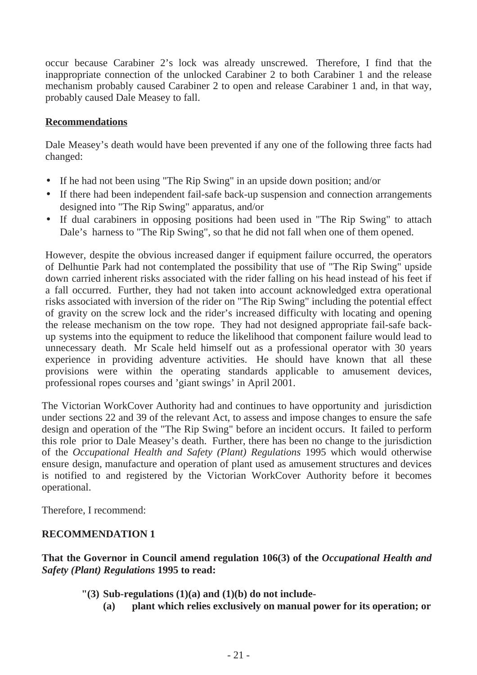occur because Carabiner 2's lock was already unscrewed. Therefore, I find that the inappropriate connection of the unlocked Carabiner 2 to both Carabiner 1 and the release mechanism probably caused Carabiner 2 to open and release Carabiner 1 and, in that way, probably caused Dale Measey to fall.

# **Recommendations**

Dale Measey's death would have been prevented if any one of the following three facts had changed:

- If he had not been using "The Rip Swing" in an upside down position; and/or
- If there had been independent fail-safe back-up suspension and connection arrangements designed into "The Rip Swing" apparatus, and/or
- If dual carabiners in opposing positions had been used in "The Rip Swing" to attach Dale's harness to "The Rip Swing", so that he did not fall when one of them opened.

However, despite the obvious increased danger if equipment failure occurred, the operators of Delhuntie Park had not contemplated the possibility that use of "The Rip Swing" upside down carried inherent risks associated with the rider falling on his head instead of his feet if a fall occurred. Further, they had not taken into account acknowledged extra operational risks associated with inversion of the rider on "The Rip Swing" including the potential effect of gravity on the screw lock and the rider's increased difficulty with locating and opening the release mechanism on the tow rope. They had not designed appropriate fail-safe backup systems into the equipment to reduce the likelihood that component failure would lead to unnecessary death. Mr Scale held himself out as a professional operator with 30 years experience in providing adventure activities. He should have known that all these provisions were within the operating standards applicable to amusement devices, professional ropes courses and 'giant swings' in April 2001.

The Victorian WorkCover Authority had and continues to have opportunity and jurisdiction under sections 22 and 39 of the relevant Act, to assess and impose changes to ensure the safe design and operation of the "The Rip Swing" before an incident occurs. It failed to perform this role prior to Dale Measey's death. Further, there has been no change to the jurisdiction of the *Occupational Health and Safety (Plant) Regulations* 1995 which would otherwise ensure design, manufacture and operation of plant used as amusement structures and devices is notified to and registered by the Victorian WorkCover Authority before it becomes operational.

Therefore, I recommend:

# **RECOMMENDATION 1**

**That the Governor in Council amend regulation 106(3) of the** *Occupational Health and Safety (Plant) Regulations* **1995 to read:**

- **"(3) Sub-regulations (1)(a) and (1)(b) do not include-**
	- **(a) plant which relies exclusively on manual power for its operation; or**